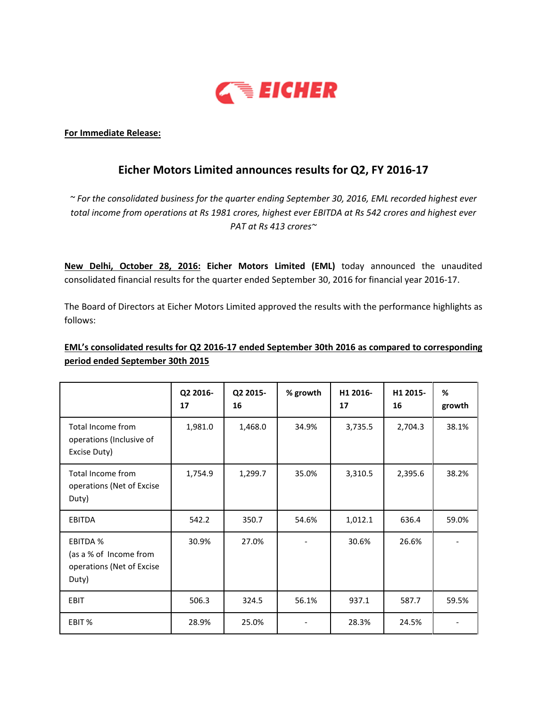

### For Immediate Release:

# Eicher Motors Limited announces results for Q2, FY 2016-17

 $\sim$  For the consolidated business for the quarter ending September 30, 2016, EML recorded highest ever total income from operations at Rs 1981 crores, highest ever EBITDA at Rs 542 crores and highest ever PAT at Rs 413 crores~

New Delhi, October 28, 2016: Eicher Motors Limited (EML) today announced the unaudited consolidated financial results for the quarter ended September 30, 2016 for financial year 2016-17.

The Board of Directors at Eicher Motors Limited approved the results with the performance highlights as follows:

## EML's consolidated results for Q2 2016-17 ended September 30th 2016 as compared to corresponding period ended September 30th 2015

|                                                                                 | Q2 2016-<br>17 | Q2 2015-<br>16 | % growth | H1 2016-<br>17 | H1 2015-<br>16 | %<br>growth |
|---------------------------------------------------------------------------------|----------------|----------------|----------|----------------|----------------|-------------|
| Total Income from<br>operations (Inclusive of<br>Excise Duty)                   | 1,981.0        | 1,468.0        | 34.9%    | 3,735.5        | 2,704.3        | 38.1%       |
| Total Income from<br>operations (Net of Excise<br>Duty)                         | 1,754.9        | 1,299.7        | 35.0%    | 3,310.5        | 2,395.6        | 38.2%       |
| <b>EBITDA</b>                                                                   | 542.2          | 350.7          | 54.6%    | 1,012.1        | 636.4          | 59.0%       |
| <b>EBITDA %</b><br>(as a % of Income from<br>operations (Net of Excise<br>Duty) | 30.9%          | 27.0%          |          | 30.6%          | 26.6%          |             |
| EBIT                                                                            | 506.3          | 324.5          | 56.1%    | 937.1          | 587.7          | 59.5%       |
| EBIT %                                                                          | 28.9%          | 25.0%          |          | 28.3%          | 24.5%          |             |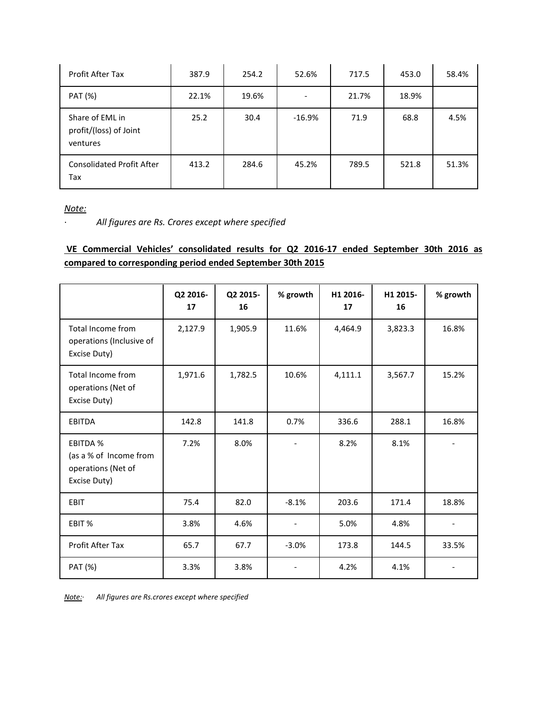| Profit After Tax                                      | 387.9 | 254.2 | 52.6%    | 717.5 | 453.0 | 58.4% |
|-------------------------------------------------------|-------|-------|----------|-------|-------|-------|
| PAT (%)                                               | 22.1% | 19.6% |          | 21.7% | 18.9% |       |
| Share of EML in<br>profit/(loss) of Joint<br>ventures | 25.2  | 30.4  | $-16.9%$ | 71.9  | 68.8  | 4.5%  |
| <b>Consolidated Profit After</b><br>Tax               | 413.2 | 284.6 | 45.2%    | 789.5 | 521.8 | 51.3% |

Note:

· All figures are Rs. Crores except where specified

# VE Commercial Vehicles' consolidated results for Q2 2016-17 ended September 30th 2016 as compared to corresponding period ended September 30th 2015

|                                                                                 | Q2 2016-<br>17 | Q2 2015-<br>16 | % growth | H1 2016-<br>17 | H1 2015-<br>16 | % growth |
|---------------------------------------------------------------------------------|----------------|----------------|----------|----------------|----------------|----------|
| Total Income from<br>operations (Inclusive of<br>Excise Duty)                   | 2,127.9        | 1,905.9        | 11.6%    | 4,464.9        | 3,823.3        | 16.8%    |
| Total Income from<br>operations (Net of<br>Excise Duty)                         | 1,971.6        | 1,782.5        | 10.6%    | 4,111.1        | 3,567.7        | 15.2%    |
| <b>EBITDA</b>                                                                   | 142.8          | 141.8          | 0.7%     | 336.6          | 288.1          | 16.8%    |
| <b>EBITDA %</b><br>(as a % of Income from<br>operations (Net of<br>Excise Duty) | 7.2%           | 8.0%           |          | 8.2%           | 8.1%           |          |
| <b>EBIT</b>                                                                     | 75.4           | 82.0           | $-8.1%$  | 203.6          | 171.4          | 18.8%    |
| EBIT %                                                                          | 3.8%           | 4.6%           |          | 5.0%           | 4.8%           |          |
| Profit After Tax                                                                | 65.7           | 67.7           | $-3.0%$  | 173.8          | 144.5          | 33.5%    |
| PAT (%)                                                                         | 3.3%           | 3.8%           |          | 4.2%           | 4.1%           |          |

Note: All figures are Rs.crores except where specified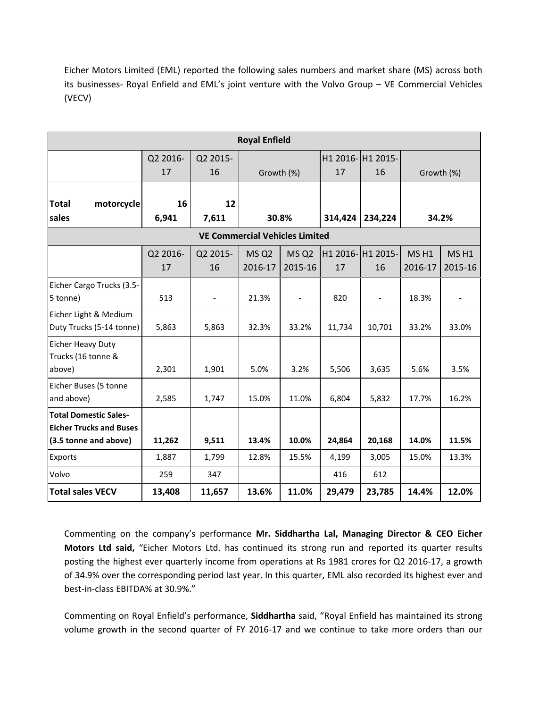Eicher Motors Limited (EML) reported the following sales numbers and market share (MS) across both its businesses- Royal Enfield and EML's joint venture with the Volvo Group – VE Commercial Vehicles (VECV)

| <b>Royal Enfield</b>                                                                    |                |                          |                              |                             |         |                                                 |                             |                             |
|-----------------------------------------------------------------------------------------|----------------|--------------------------|------------------------------|-----------------------------|---------|-------------------------------------------------|-----------------------------|-----------------------------|
|                                                                                         | Q2 2016-<br>17 | Q2 2015-<br>16           | Growth (%)                   |                             | 17      | H1 2016- H1 2015-<br>16                         | Growth (%)                  |                             |
| <b>Total</b><br>motorcycle<br>sales                                                     | 16<br>6,941    | 12<br>7,611              | 30.8%                        |                             | 314,424 | 234,224                                         | 34.2%                       |                             |
| <b>VE Commercial Vehicles Limited</b>                                                   |                |                          |                              |                             |         |                                                 |                             |                             |
|                                                                                         | Q2 2016-<br>17 | Q2 2015-<br>16           | MS Q <sub>2</sub><br>2016-17 | MS <sub>Q2</sub><br>2015-16 | 17      | H <sub>1</sub> 2016- H <sub>1</sub> 2015-<br>16 | MS <sub>H1</sub><br>2016-17 | MS <sub>H1</sub><br>2015-16 |
| Eicher Cargo Trucks (3.5-<br>5 tonne)                                                   | 513            | $\overline{\phantom{a}}$ | 21.3%                        | $\overline{\phantom{a}}$    | 820     | $\overline{\phantom{a}}$                        | 18.3%                       | $\overline{\phantom{a}}$    |
| Eicher Light & Medium<br>Duty Trucks (5-14 tonne)                                       | 5,863          | 5,863                    | 32.3%                        | 33.2%                       | 11,734  | 10,701                                          | 33.2%                       | 33.0%                       |
| Eicher Heavy Duty<br>Trucks (16 tonne &<br>above)                                       | 2,301          | 1,901                    | 5.0%                         | 3.2%                        | 5,506   | 3,635                                           | 5.6%                        | 3.5%                        |
| Eicher Buses (5 tonne<br>and above)                                                     | 2,585          | 1,747                    | 15.0%                        | 11.0%                       | 6,804   | 5,832                                           | 17.7%                       | 16.2%                       |
| <b>Total Domestic Sales-</b><br><b>Eicher Trucks and Buses</b><br>(3.5 tonne and above) | 11,262         | 9,511                    | 13.4%                        | 10.0%                       | 24,864  | 20,168                                          | 14.0%                       | 11.5%                       |
| Exports                                                                                 | 1,887          | 1,799                    | 12.8%                        | 15.5%                       | 4,199   | 3,005                                           | 15.0%                       | 13.3%                       |
| Volvo                                                                                   | 259            | 347                      |                              |                             | 416     | 612                                             |                             |                             |
| <b>Total sales VECV</b>                                                                 | 13,408         | 11,657                   | 13.6%                        | 11.0%                       | 29,479  | 23,785                                          | 14.4%                       | 12.0%                       |

Commenting on the company's performance Mr. Siddhartha Lal, Managing Director & CEO Eicher Motors Ltd said, "Eicher Motors Ltd. has continued its strong run and reported its quarter results posting the highest ever quarterly income from operations at Rs 1981 crores for Q2 2016-17, a growth of 34.9% over the corresponding period last year. In this quarter, EML also recorded its highest ever and best-in-class EBITDA% at 30.9%."

Commenting on Royal Enfield's performance, Siddhartha said, "Royal Enfield has maintained its strong volume growth in the second quarter of FY 2016-17 and we continue to take more orders than our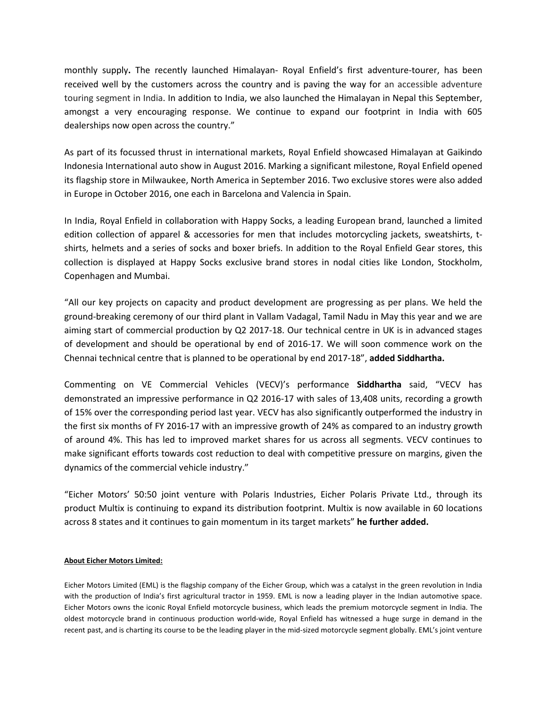monthly supply. The recently launched Himalayan- Royal Enfield's first adventure-tourer, has been received well by the customers across the country and is paving the way for an accessible adventure touring segment in India. In addition to India, we also launched the Himalayan in Nepal this September, amongst a very encouraging response. We continue to expand our footprint in India with 605 dealerships now open across the country."

As part of its focussed thrust in international markets, Royal Enfield showcased Himalayan at Gaikindo Indonesia International auto show in August 2016. Marking a significant milestone, Royal Enfield opened its flagship store in Milwaukee, North America in September 2016. Two exclusive stores were also added in Europe in October 2016, one each in Barcelona and Valencia in Spain.

In India, Royal Enfield in collaboration with Happy Socks, a leading European brand, launched a limited edition collection of apparel & accessories for men that includes motorcycling jackets, sweatshirts, tshirts, helmets and a series of socks and boxer briefs. In addition to the Royal Enfield Gear stores, this collection is displayed at Happy Socks exclusive brand stores in nodal cities like London, Stockholm, Copenhagen and Mumbai.

"All our key projects on capacity and product development are progressing as per plans. We held the ground-breaking ceremony of our third plant in Vallam Vadagal, Tamil Nadu in May this year and we are aiming start of commercial production by Q2 2017-18. Our technical centre in UK is in advanced stages of development and should be operational by end of 2016-17. We will soon commence work on the Chennai technical centre that is planned to be operational by end 2017-18", added Siddhartha.

Commenting on VE Commercial Vehicles (VECV)'s performance Siddhartha said, "VECV has demonstrated an impressive performance in Q2 2016-17 with sales of 13,408 units, recording a growth of 15% over the corresponding period last year. VECV has also significantly outperformed the industry in the first six months of FY 2016-17 with an impressive growth of 24% as compared to an industry growth of around 4%. This has led to improved market shares for us across all segments. VECV continues to make significant efforts towards cost reduction to deal with competitive pressure on margins, given the dynamics of the commercial vehicle industry."

"Eicher Motors' 50:50 joint venture with Polaris Industries, Eicher Polaris Private Ltd., through its product Multix is continuing to expand its distribution footprint. Multix is now available in 60 locations across 8 states and it continues to gain momentum in its target markets" he further added.

### About Eicher Motors Limited:

Eicher Motors Limited (EML) is the flagship company of the Eicher Group, which was a catalyst in the green revolution in India with the production of India's first agricultural tractor in 1959. EML is now a leading player in the Indian automotive space. Eicher Motors owns the iconic Royal Enfield motorcycle business, which leads the premium motorcycle segment in India. The oldest motorcycle brand in continuous production world-wide, Royal Enfield has witnessed a huge surge in demand in the recent past, and is charting its course to be the leading player in the mid-sized motorcycle segment globally. EML's joint venture